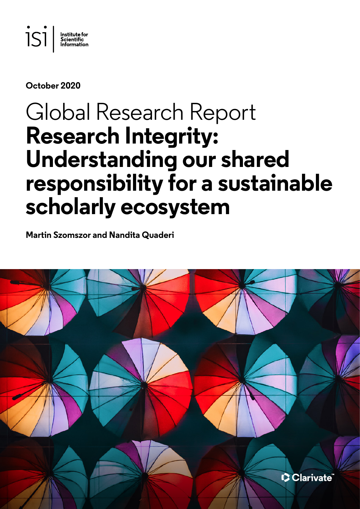

## **October 2020**

# Global Research Report **Research Integrity: Understanding our shared responsibility for a sustainable scholarly ecosystem**

**Martin Szomszor and Nandita Quaderi**

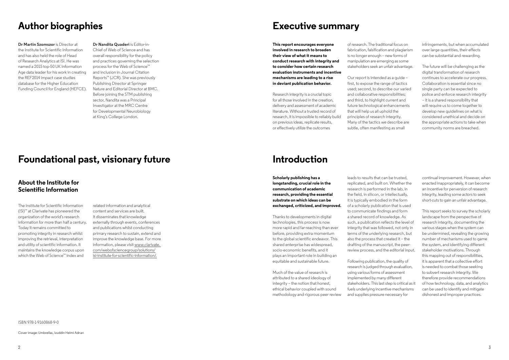ISBN 978-1-9160868-9-0

Cover image: Umbrellas, Izuddin Helmi Adnan

# **Executive summary**

**This report encourages everyone involved in research to broaden their view of what it means to conduct research with integrity and to consider how certain research evaluation instruments and incentive mechanisms are leading to a rise in deviant publication behavior.** 

Research integrity is a crucial topic for all those involved in the creation, delivery and assessment of academic literature. Without a trusted record of research, it is impossible to reliably build on previous ideas, replicate results, or effectively utilize the outcomes

Our report is intended as a quide first, to expose the range of tactics used; second, to describe our varied and collaborative responsibilities; and third, to highlight current and future technological enhancements that will help us all uphold the principles of research integrity. Many of the tactics we describe are subtle, often manifesting as small

of research. The traditional focus on fabrication, falsification and plagiarism is no longer enough – new forms of manipulation are emerging as some stakeholders seek an unfair advantage.

infringements, but when accumulated over large quantities, their effects can be substantial and rewarding.

The future will be challenging as the digital transformation of research continues to accelerate our progress. Collaboration is essential since no single party can be expected to police and enforce research integrity – it is a shared responsibility that will require us to come together to develop new guidelines on what is considered unethical and decide on the appropriate actions to take when community norms are breached.

# **Author biographies**

**Dr Martin Szomszor** is Director at the Institute for Scientific Information and has also held the role of Head of Research Analytics at ISI. He was named a 2015 top-50 UK Information Age data leader for his work in creating the REF2014 impact case studies database for the Higher Education Funding Council for England (HEFCE).

**Dr Nandita Quaderi** is Editor-in-Chief of Web of Science and has overall responsibility for the policy and practices governing the selection process for the Web of Science™ and inclusion in Journal Citation Reports™ (JCR). She was previously Publishing Director at Springer Nature and Editorial Director at BMC. Before joining the STM publishing sector, Nandita was a Principal Investigator at the MRC Centre for Developmental Neurobiology at King's College London.

# **Foundational past, visionary future**

## **About the Institute for Scientific Information**

The Institute for Scientific Information (ISI)™ at Clarivate has pioneered the organization of the world's research information for more than half a century. Today it remains committed to promoting integrity in research whilst improving the retrieval, interpretation and utility of scientific information. It maintains the knowledge corpus upon which the Web of Science™ index and

related information and analytical content and services are built. It disseminates that knowledge externally through events, conferences and publications whilst conducting primary research to sustain, extend and improve the knowledge base. For more information, please visit [www.clarivate.](http://www.clarivate. com/webofsciencegroup/solutions/isi-institute-for-scientific-information/)  [com/webofsciencegroup/solutions/](http://www.clarivate. com/webofsciencegroup/solutions/isi-institute-for-scientific-information/) [isi-institute-for-scientific-information/.](http://www.clarivate. com/webofsciencegroup/solutions/isi-institute-for-scientific-information/)

# **Introduction**

**Scholarly publishing has a longstanding, crucial role in the communication of academic research, providing the essential substrate on which ideas can be exchanged, criticized, and improved.** 

Thanks to developments in digital technologies, this process is now more rapid and far-reaching than ever before, providing extra momentum to the global scientific endeavor. This shared enterprise has widespread, socio-economic benefits, and it plays an important role in building an equitable and sustainable future.

Much of the value of research is attributed to a shared ideology of integrity – the notion that honest, ethical behavior coupled with sound methodology and rigorous peer review

leads to results that can be trusted, replicated, and built on. Whether the research is performed in the lab, in the field, in silicon, or intellectually, it is typically embodied in the form of a scholarly publication that is used to communicate findings and form a shared record of knowledge. As such, a publication reflects the level of integrity that was followed, not only in terms of the underlying research, but also the process that created it – the drafting of the manuscript, the peerreview process, and the editorial input.

Following publication, the quality of research is judged through evaluation, using various forms of assessment implemented by many different stakeholders. This last step is critical as it fuels underlying incentive mechanisms and supplies pressure necessary for

continual improvement. However, when enacted inappropriately, it can become an incentive for perversion of research integrity, leading some actors to seek short-cuts to gain an unfair advantage.

This report seeks to survey the scholarly landscape from the perspective of research integrity, documenting the various stages when the system can be undermined, revealing the growing number of mechanisms used to game the system, and identifying different stakeholder motivations. Through this mapping out of responsibilities, it is apparent that a collective effort is needed to combat those seeking to subvert research integrity. We therefore provide recommendations of how technology, data, and analytics can be used to identify and mitigate dishonest and improper practices.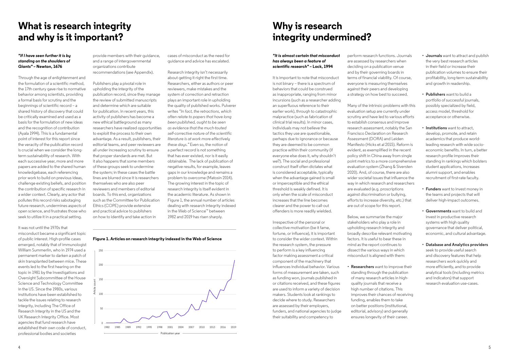# **What is research integrity and why is it important?**

### *"If I have seen further it is by standing on the shoulders of Giants"* **– Newton, 1676**

Through the age of enlightenment and the formulation of a scientific method, the 17th century gave rise to normative behavior among scientists, providing a formal basis for scrutiny and the beginnings of scientific record – a shared history of discovery that could be critically examined and used as a basis for the formulation of new ideas and the recognition of contribution (Ayala 1994). This is a fundamental point of interest for this report since the veracity of the publication record is crucial when we consider the longterm sustainability of research. With each successive year, more and more papers are added to the shared human knowledgebase, each referencing prior work to build on previous ideas, challenge existing beliefs, and position the contribution of specific research in a wider context. Clearly, any actor that pollutes this record risks sabotaging future research, undermines aspects of open science, and frustrates those who seek to utilize it in a practical setting.

It was not until the 1970s that misconduct became a significant topic of public interest. High-profile cases emerged, notably that of immunologist William Summerlin, who in 1974 used a permanent marker to darken a patch of skin transplanted between mice. These events led to the first hearing on the topic in 1981 by the Investigations and Oversight Subcommittee of the House Science and Technology Committee in the US. Since the 1980s, various institutions have been established to tackle the issues relating to research integrity, including The Office of Research Integrity in the US and the UK Research Integrity Office. Most agencies that fund research have established their own code of conduct, professional bodies and societies

provide members with their guidance, and a range of intergovernmental organizations contribute recommendations (see Appendix).

Publishers play a pivotal role in upholding the integrity of the publication record, since they manage the review of submitted manuscripts and determine which are suitable for publication. In recent years, this activity of publishers has become a new ethical battleground as many researchers have realized opportunities to exploit the process to their own advantage. As a result, publishers, their editorial teams, and peer reviewers are all under increasing scrutiny to ensure that proper standards are met. But it also happens that some members of these groups seek to undermine the system; in these cases the battle lines are blurred since it is researchers themselves who are also peer reviewers and members of editorial boards. To this end, organizations such as the Committee for Publication Ethics (COPE) provide extensive and practical advice to publishers on how to identify and take action in

cases of misconduct as the need for guidance and advice has escalated.

Research integrity isn't necessarily about getting it right the first time. Researchers, either as authors or peer reviewers, make mistakes and the system of correction and retraction plays an important role in upholding the quality of published works. Pulverer writes *"In fact, the retractions, which often relate to papers that have long been published, ought to be seen as evidence that the much-touted self-corrective nature of the scientific literature is at work more effectively these days."* Even so, the notion of a perfect record is not something that has ever existed, nor is it easily obtainable. The lack of publication of negative results, for example, leaves gaps in our knowledge and remains a problem to overcome (Matosin 2014). The growing interest in the topic of research integrity is itself evident in the academic literature. As shown in Figure 1, the annual number of articles dealing with research integrity indexed in the Web of Science™ between 1982 and 2019 has risen sharply.

# **Why is research integrity undermined?**

## *"It is almost certain that misconduct has always been a feature of scientific research"* **– Lock, 1994**

It is important to note that misconduct is not binary – there is a spectrum of behaviors that could be construed as inappropriate, ranging from minor incursions (such as a researcher adding an superfluous reference to their earlier work), through to catastrophic malpractice (such as fabrication of clinical trial results). In minor cases, individuals may not believe the tactics they use are questionable, perhaps due to ignorance or because they are deemed to be common practice within their community (if everyone else does it, why shouldn't we?). The social and professional construct itself often dictates what is considered acceptable, typically when the advantage gained is small or imperceptible and the ethical threshold is weakly defined. It is only when the scale of misconduct increases that the line becomes clearer and the power to call-out offenders is more readily wielded.

Irrespective of the personal or collective motivation (be it fame, fortune, or influence), it is important to consider the wider context. Within the research system, the pressure to perform is a key influencing factor making assessment a critical component of the machinery that influences individual behavior. Various forms of measurement are taken, such as funding won, journals published in or citations received, and these figures are used to inform a variety of decision makers. Students look at rankings to decide where to study. Researchers are assessed by their employers, funders, and national agencies to judge their suitability and competency to

perform research functions. Journals are assessed by researchers when deciding on a publication venue and by their governing boards in terms of financial viability. Of course, everyone is measuring themselves against their peers and developing a strategy on how best to succeed.

Many of the intrinsic problems with this evaluation setup are currently under scrutiny and have led to various efforts to establish consensus and improve research assessment, notably the San Francisco Declaration on Research Assessment (DORA) and Leiden Manifesto (Hicks et al 2015). Reform is evident, as exemplified in the recent policy shift in China away from single point metrics to a more comprehensive evaluation system (Zhang & Siversten 2020). And, of course, there are also wider societal issues that influence the way in which research and researchers are evaluated (e.g. proscriptions against discrimination or bullying, efforts to increase diversity, etc.) that are out of scope for this report.

Below, we summarize the major stakeholders who play a role in upholding research integrity and broadly describe relevant motivating factors. It is useful to bear these in mind as the report continues to dissect the various ways in which misconduct is aligned with them:

**• Researchers** want to improve their standing through the publication of many research articles in highquality journals that receive a high number of citations. This improves their chances of receiving funding, enables them to take on better positions (institutional, editorial, advisory) and generally ensures longevity of their career.

- **• Journals** want to attract and publish the very best research articles in their field or increase their publication volumes to ensure their profitability, long-term sustainability and growth in readership.
- **• Publishers** want to build a portfolio of successful journals, possibly specialized by field, access model, threshold for acceptance or otherwise.
- **• Institutions** want to attract, develop, promote, and retain academics that produce worldleading research with wide socioeconomic benefits. In turn, a better research profile improves their standing in rankings which bolsters student applications, increases alumni support, and enables recruitment of first-rate faculty.
- **• Funders** want to invest money in the teams and projects that will deliver high-impact outcomes.
- **• Governments** want to build and invest in productive research systems with high quality governance that deliver political, economic, and cultural advantage.
- **• Database and Analytics providers**  seek to provide useful search and discovery features that help researchers work quickly and more efficiently, and to provide analytical tools (including metrics and indicators) that support research evaluation use-cases.

## **Figure 1. Articles on research integrity indexed in the Web of Science**

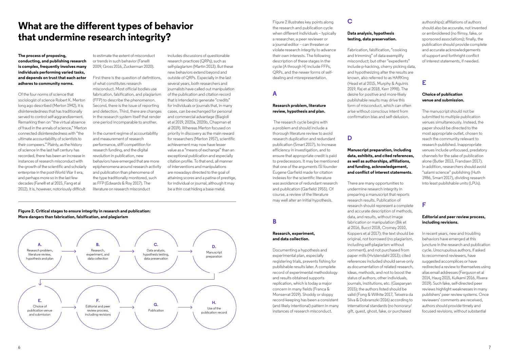# **What are the different types of behavior that undermine research integrity?**

**The process of proposing, conducting, and publishing research is complex, frequently involves many individuals performing varied tasks, and depends on trust that each actor adheres to community norms.** 

Of the four norms of science that sociologist of science Robert K. Merton long ago described (Merton 1942), it is disinterestedness that has traditionally served to control self-aggrandizement. Remarking then on "the virtual absence of fraud in the annals of science," Merton connected disinterestedness with "the ultimate accountability of scientists to their compeers." Plainly, as the history of science in the last half century has recorded, there has been an increase in instances of research misconduct with the growth of the scientific and scholarly enterprise in the post-World War II era, and perhaps more so in the last few decades (Fanelli et al 2015, Fang et al 2012). It is, however, notoriously difficult

to estimate the extent of misconduct or trends in such behavior (Fanelli 2009, Gross 2016, Zuckerman 2020).

First there is the question of definitions, of what constitutes research misconduct. Most official bodies use fabrication, falsification, and plagiarism (FFP) to describe the phenomenon. Second, there is the issue of reporting and detection. Third, there are changes in the research system itself that render one period incomparable to another.

In the current regime of accountability and measurement of research performance, stiff competition for research funding, and the digital revolution in publication, new behaviors have emerged that are more epiphenomena around research activity and publication than phenomena of the type traditionally monitored, such as FFP (Edwards & Roy 2017). The literature on research misconduct

includes discussions of questionable research practices (QRPs), such as self-plagiarism (Martin 2013). But these new behaviors extend beyond and outside of QRPs. Especially in the last several years, both researchers and journalists have called out manipulation of the publication and citation record that is intended to generate "credits" for individuals or journals that, in many cases, can be exchanged for personal and commercial advantage (Biagioli et al 2019, 2020a, 2020b, Chapman et al 2019). Whereas Merton focused on priority in discovery as the main reward for researchers (Merton 1957), scientific achievement may now have lesser value as a "means of exchange" than an exceptional publication and especially citation profile. To that end, all manner of interventions and manipulations are nowadays directed to the goal of attaining scores and a patina of prestige, for individual or journal, although it may be a thin coat hiding a base metal.

## **Figure 2. Critical stages to ensure integrity in research and publication: More dangers than fabrication, falsification, and plagiarism**



Figure 2 illustrates key points along the research and publication cycle when different individuals – typically a researcher, a peer reviewer or a journal editor – can threaten or violate research integrity to advance their own interests. The following description of these stages in the cycle (A through H) include FFPs, QRPs, and the newer forms of selfdealing and misrepresentation.

# **A**

### **Research problem, literature review, hypothesis and plan.**

 The research cycle begins with a problem and should include a thorough literature review to avoid research duplication and redundant publication (Smart 2017), to increase efficiency in investigation, and to ensure that appropriate credit is paid to predecessors. It may be mentioned that one of the arguments ISI founder Eugene Garfield made for citation indexes for the scientific literature was avoidance of redundant research and publication (Garfield 1955). Of course, a review of the literature may well alter an initial hypothesis.

## **B**

### **Research, experiment, and data collection.**

Documenting a hypothesis and experimental plan, especially registering trials, prevents fishing for publishable results later. A complete record of experimental methodology and results obtained supports replication, which is today a major concern in many fields (Franca & Monserrat 2019). Shoddy or sloppy record-keeping has been a consistent (and likely intentional) pattern in many instances of research misconduct.

## **C**

### **Data analysis, hypothesis testing, data preservation.**

Fabrication, falsification, "cooking and trimming" of data exemplify misconduct; but other "expedients" include p-hacking, cherry picking data, and hypothesizing after the results are known, also referred to as HARKing (Head et al 2015, Murphy & Aguinis 2019, Raj et al 2018, Kerr 1998). The desire for positive and more-likely publishable results may drive this form of misconduct, which can often arise without conscious intent from confirmation bias and self-delusion.

## **D**

## **Manuscript preparation, including data, exhibits, and cited references, as well as authorships, affiliations, and funding, acknowledgement, and conflict of interest statements.**

There are many opportunities to undermine research integrity in preparing a manuscript that reports research results. Publication of research should represent a complete and accurate description of methods, data, and results, without image fabrication or manipulation (Bik et al 2016, Bucci 2018, Cromey 2010, Koppers et al 2017); the text should be original, not borrowed (no plagiarism, including self-plagiarism without comment), and not purchased from paper mills (Hvistendahl 2013); cited references included should serve only as documentation of related research, ideas, methods, and not to boost the status of authors, other individuals, journals, institutions, etc. (Gasparyan 2015); the authors listed should be valid (Fong & Wilhite 2017, Teixeira da Silva & Dobranszki 2016) according to international standards (no honorary/ gift, guest, ghost, fake, or purchased

authorships); affiliations of authors should also be accurate, not invented or embroidered (no flimsy, fake, or sponsored associations); finally, the publication should provide complete and accurate acknowledgements of support and forthright conflict of interest statements, if needed.

## **E**

## **Choice of publication venue and submission.**

The manuscript should not be submitted to multiple publication venues simultaneously. Instead, the paper should be directed to the most appropriate outlet, chosen to reach the community relevant to research published. Inappropriate venues include unfocused, predatory channels for the sake of publication alone (Butler 2013, Frandsen 2017). In addition, researchers should avoid "salami science" publishing (Huth 1986, Smart 2017), dividing research into least publishable units (LPUs).

## **F**

## **Editorial and peer review process, including revisions.**

In recent years, new and troubling behaviors have emerged at this juncture in the research and publication cycle. Unscrupulous authors, if asked to recommend reviewers, have suggested accomplices or have redirected a review to themselves using alias email addresses (Ferguson et al 2014, Haug 2015, Kulkarni 2016, Rivera 2019). Such fake, self-directed peer reviews highlight weaknesses in many publishers' peer review systems. Once reviewers' comments are received, authors should provide timely and focused revisions, without substantial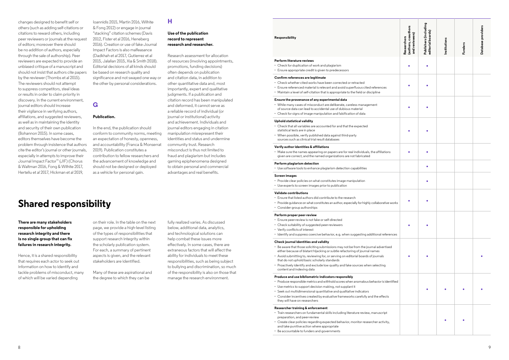### **Responsibility**

|                   | Researchers<br>(authors, coauthors<br>and reviewers) | Publishers (including<br>editorial boards) | Institutions | <b>Funders</b> | Database providers |
|-------------------|------------------------------------------------------|--------------------------------------------|--------------|----------------|--------------------|
|                   |                                                      |                                            |              |                |                    |
| s!                |                                                      |                                            |              |                |                    |
|                   |                                                      |                                            |              |                |                    |
|                   |                                                      |                                            |              |                |                    |
| ions              |                                                      |                                            |              |                |                    |
|                   |                                                      | ٠                                          |              |                |                    |
|                   |                                                      |                                            |              |                |                    |
| ive works:        |                                                      |                                            |              |                |                    |
| ferences          |                                                      |                                            |              |                |                    |
| tised             |                                                      |                                            |              |                |                    |
| J                 |                                                      |                                            |              |                |                    |
| identified<br>cts |                                                      |                                            |              |                |                    |
| ot<br>ity,        |                                                      |                                            |              |                |                    |
|                   |                                                      |                                            |              |                |                    |

#### **Perform literature reviews**

- Check for duplication of work and plagiarism
- Ensure appropriate credit is given to predecessors

#### **Confirm references are legitimate**

- Check whether cited works have been corrected or retracted
- Ensure referenced material is relevant and avoid superfluous cited reference
- Maintain a level of self-citation that is appropriate to the field or discipline

#### **Ensure the provenance of any experimental data**

• Make sure the names appearing on papers are for real individuals, the affiliati given are correct, and the named organizations are not fabricated

- While many cases of misconduct are deliberate, careless management of source data can lead to accidental use of dubious material
- Check for signs of image manipulation and falsification of data

#### **Uphold statistical validity**

- 
- Ensure peer-review is not fake or self-directed Check suitability of suggested peer-reviewers
- Verify conflicts of interest
- Identify and suppress coercive behavior, e.g. when suggesting additional ref
- Check that all variables are accounted for and that the expected statistical tests are in place
- When possible, verify published data against third-party sources such as clinical trial result databases

#### **Verify author identities & affiliations**

- Be aware that those soliciting submissions may not be from the journal advert either because of blatant hijacking or subtle refactoring of journal names
- Avoid submitting to, reviewing for, or serving on editorial boards of journals that do not uphold basic scholarly standards
- Proactively identify and exclude low quality and fake sources when selecting content and indexing data

#### **Perform plagiarism detection**

• Use software tools to enhance plagiarism detection capabilities

#### **Screen images**

- Produce responsible metrics and withhold scores when anomalous behavior is
- Use metrics to support decision making, not supplant it
- Seek out multidimensional quantitative and qualitative indicators
- Consider incentives created by evaluative frameworks carefully and the effect they will have on researchers
- Provide clear policies on what constitutes image manipulation
- Use experts to screen images prior to publication

### **Validate contributions**

- Train researchers on fundamental skills including literature review, manuscription preparation, and peer-review
- Create clear policies regarding expected behavior, monitor researcher activ and take punitive action where appropriate
- Be accountable to funders and governments
- Ensure that listed authors did contribute to the research
- Provide quidance on what constitutes an author, especially for highly collaborat
- Consider group authorships

#### **Perform proper peer-review**

#### **Check journal identities and validity**

### **Produce and use bibliometric indicators responsibly**

#### **Researcher training & enforcement**

changes designed to benefit self or others (such as adding self-citations or citations to reward others, including peer reviewers or journals at the request of editors; moreover there should be no addition of authors, especially through the sale of authorship). Peer reviewers are expected to provide an unbiased critique of a manuscript and should not insist that authors cite papers by the reviewer (Thombs et al 2015). The reviewers should not attempt to suppress competitors, steal ideas or results in order to claim priority in discovery. In the current environment, journal editors should increase their vigilance in verifying authors, affiliations, and suggested reviewers, as well as in maintaining the identity and security of their own publication (Bohannon 2015). In some cases, editors themselves have become the problem through insistence that authors cite the editor's journal or other journals, especially in attempts to improve their Journal Impact Factor™ (JIF) (Chorus & Waltman 2016, Fong & Wilhite 2017, Herteliu et al 2017, Hickman et al 2019,

Ioannidis 2015, Martin 2016, Wilhite & Fong 2012) or engage in journal "stacking" citation schemes (Davis 2012, Fister et al 2016, Heneberg 2016). Creation or use of fake Journal Impact Factors is also malfeasance (Dadkhah et al 2017, Gutierrez et al 2015, Jalalian 2015, Xia & Smith 2018). Editorial decisions of all kinds should be based on research quality and significance and not swayed one way or the other by personal considerations.

## **G**

### **Publication.**

In the end, the publication should conform to community norms, meeting an expectation of honesty, openness, and accountability (Franca & Monserrat 2019). Publication constitutes a contribution to fellow researchers and the advancement of knowledge and should not be designed or deployed as a vehicle for personal gain.

## **H**

### **Use of the publication record to represent research and researcher.**

Research assessment for allocation of resources (involving appointments, promotions, funding decisions) often depends on publication and citation data, in addition to other quantitative data and, most importantly, expert and qualitative judgments. If a publication and citation record has been manipulated and deformed, it cannot serve as a reliable record of individual (or journal or institutional) activity and achievement. Individuals and journal editors engaging in citation manipulation misrepresent their identities and status and undermine community trust. Research misconduct is thus not limited to fraud and plagiarism but includes gaming epiphenomena designed to obtain personal and commercial advantages and real benefits.

# **Shared responsibility**

**There are many stakeholders responsible for upholding research integrity and there is no single group that can fix failures in research integrity.** 

Hence, it is a shared responsibility that requires each actor to seek out information on how to identify and tackle problems of misconduct, many of which will be varied depending

on their role. In the table on the next page, we provide a high-level listing of the types of responsibilities that support research integrity within the scholarly publication system. For each, a summary of pertinent aspects is given, and the relevant stakeholders are identified.

Many of these are aspirational and the degree to which they can be

fully realized varies. As discussed below, additional data, analytics, and technological solutions can help combat these issues more effectively. In some cases, there are extraneous factors that will affect the ability for individuals to meet these responsibilities, such as being subject to bullying and discrimination, so much of the responsibility is also on those that manage the research environment.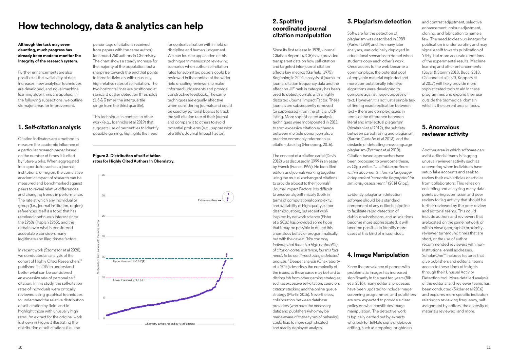# **How technology, data & analytics can help**

**Although the task may seem daunting, much progress has already been made to monitor the integrity of the research system.** 

Further enhancements are also possible as the availability of data increases, new analytical techniques are developed, and novel machine learning algorithms are applied. In the following subsections, we outline six major areas for improvement.

# **1. Self-citation analysis**

Citation indicators are a method to measure the academic influence of a particular research paper based on the number of times it is cited by future works. When aggregated into a portfolio, such as a journal, institutions, or region, the cumulative academic impact of research can be measured and benchmarked against peers to reveal relative differences and changing trends in performance. The rate at which any individual or group (i.e., journal institution, region) references itself is a topic that has received continuous interest since the 1960s (Kaplan 1965), and the debate over what is considered acceptable considers many legitimate and illegitimate factors.

In recent work (Szomszor et al 2020), we conducted an analysis of the cohort of Highly Cited Researchers™ published in 2019 to understand better what can be considered an excessive rate of personal selfcitation. In this study, the self-citation rates of individuals were critically reviewed using graphical techniques to understand the relative distribution of self-citation by field, and to highlight those with unusually high rates. An extract for the original work is shown in Figure 3 illustrating the distribution of self-citations (i.e., the

percentage of citations received from papers with the same author) for around 250 authors in Chemistry. The chart shows a steady increase for the majority of the population, but a sharp rise towards the end that points to three individuals with unusually high relative rates of self-citation. The two horizontal lines are positioned at standard outlier detection thresholds (1.5 & 3 times the interquartile range from the third quartile).

This technique, in contrast to other work (e.g., Ioannidis et al 2019) that suggests use of percentiles to identify possible gaming, highlights the need

for contextualization within field or discipline and human judgement. We can foresee application of this technique in manuscript reviewing scenarios when author self-citation rates for submitted papers could be reviewed in the context of the wider field enabling reviewers to make informed judgements and provide constructive feedback. The same techniques are equally effective when considering journals and could be used by editorial boards to track the self-citation rate of their journal and compare it to others to avoid potential problems (e.g., suppression of a title's Journal Impact Factor).

## **Figure 3. Distribution of self-citation rates for Highly Cited Authors in Chemistry.**

## **2. Spotting coordinated journal citation manipulation**

Since its first release in 1975, Journal Citation Reports (JCR) have provided transparent data on how self-citation and targeted inter-journal citation affects key metrics (Garfield, 1975). Beginning in 2004, analysis of journal-tojournal citation frequency data and the effect on JIF rank in category has been used to detect journals with a highly distorted Journal Impact Factor. These journals are subsequently removed (or suppressed) from the official JCR listing. More sophisticated analysis techniques were incorporated in 2011 to spot excessive citation exchange between multiple donor journals, a practice commonly referred to as citation stacking (Heneberg, 2016).

The concept of a citation cartel (Davis 2012) was discussed in 1999 in an essay by Franck (Franck 1999). He identified editors and journals working together using the mutual exchange of citations to provide a boost to their journals' Journal Impact Factors. It is difficult to uncover algorithmically (both in terms of computational complexity, and availability of high quality author disambiguation), but recent work inspired by network science (Fister et al 2016) has provided some hope that it may be possible to detect this anomalous behavior programmatically, but with the caveat *"We can only indicate that there is a high probability of citation cartel existence, but this fact needs to be confirmed using a detailed analysis."* Deeper analysis (Chakraborty et al 2020) describes the complexity of the issues, as these cases may be hard to distinguish from other gaming strategies, such as excessive self-citation, coercion, citation stacking and the online queue strategy (Martin 2016). Nevertheless, collaboration between database providers (who have the necessary data) and publishers (who may be made aware of these types of behavior) could lead to more sophisticated and readily deployed analysis.

# **3. Plagiarism detection**

Software for the detection of plagiarism was described in 1989 (Parker 1989) and like many later analyses, was originally deployed in educational scenarios to detect when students copy each other's work. Once access to the web became a commonplace, the potential pool of copyable material exploded and more computationally intensive algorithms were developed to compare against huge corpuses of text. However, it is not just a simple task of finding exact replication between text – there are complex issues in terms of the difference between literal and intellectual plagiarism (Alzahrani et al 2012), the subtlety between paraphrasing and plagiarism (Barrón-Cedeño et al 2013), and the obstacle of detecting cross-language plagiarism (Potthast et al 2010). Citation-based approaches have been proposed to overcome these, as Gipp writes *"… citation patterns within documents...form a languageindependent 'semantic fingerprint' for similarity assessment."* (2014 Gipp).

Evidently, plagiarism detection software should be a standard component of any editorial pipeline to facilitate rapid detection of dubious submissions, and as solutions become more sophisticated, it will become possible to identify more cases of this kind of misconduct.

# **4. Image Manipulation**

Since the prevalence of papers with problematic images has increased significantly in the past ten years (Bik et al 2016), many editorial processes have been updated to include image screening programmes, and publishers are now expected to provide a clear policy on what constitutes image manipulation. The detective work is typically carried out by experts who look for tell-tale signs of dubious editing, such as cropping, brightness

and contrast adjustment, selective enhancement, colour adjustment, cloning, and fabrication to name a few. The need to clean up images for publication is under scrutiny and may signal a shift towards publication of 'dirty' but more accurate renditions of the experimental results. Machine learning and other enhancements (Bayar & Stamm 2018, Bucci 2018, Cicconet et al 2020, Koppers et al 2017) will likely provide more sophisticated tools to aid in these programmes and expand their use outside the biomedical domain which is the current area of focus.

## **5. Anomalous reviewer activity**

Another area in which software can assist editorial teams is flagging unusual reviewer activity such as uncovering when individuals have setup fake accounts and seek to review their own articles or articles from collaborators. This relies on collecting and analyzing many data points during submission and peer review to flag activity that should be further reviewed by the peer review and editorial teams. This could include authors and reviewers that are located on the same network or within close geographic proximity. reviewer turnaround times that are short, or the use of author recommended reviewers with noninstitutional email addresses. ScholarOne ™ includes features that give publishers and editorial teams access to these kinds of insights through their Unusual Activity Detection tool. More detailed analysis of the editorial and reviewer teams has been conducted (Sikdar et al 2016) and explores more specific indicators relating to reviewing frequency, selfassignment by editors, the diversity of materials reviewed, and more.

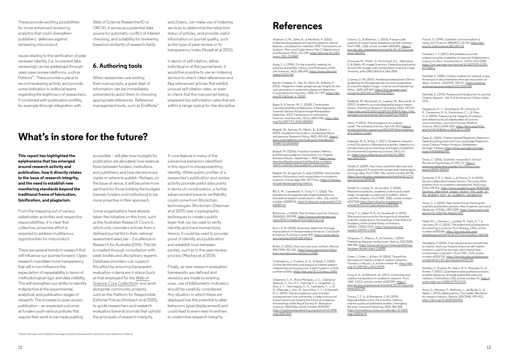These provide exciting possibilities for more enhanced reviewing analytics that could strengthen publishers' defenses against reviewing misconduct.

Issues relating to the verification of peer reviewer identity (i.e. to prevent fake reviewing) can be addressed through open peer-review platforms, such as Publons™. These provide a place to record reviewing activity and provide some indication to editorial teams regarding the legitimacy of researchers. If combined with publication profiles, for example through integration with

Web of Science ResearcherID or ORCID, it serves as a potential data source for automatic conflict of interest checking, and suitability for reviewing based on similarity of research fields.

## **6. Authoring tools**

When researchers are writing their manuscripts, a great deal of information can be immediately presented to assist them in choosing appropriate references. Reference management tools, such as EndNote™

and Zotero, can make use of indexing services to determine the retraction status of articles, and provide useful information on journal quality, such as the type of peer-review or its transparency index (Nosek et al 2015).

In terms of self-citation, either individual or at the journal-level, it would be possible to use an indexing service to check cited references and flag referenced articles that exhibit unusual self-citation rates, or even to check that the manuscript being prepared has self-citation rates that are within a range typical for the discipline.

# **What's in store for the future?**

**This report has highlighted the epiphonema that has emerged around research activity and publication, how it directly relates to the issue of research integrity, and the need to establish new monitoring standards beyond the traditional frame of fabrication, falsification, and plagiarism.** 

From the mapping out of various stakeholder activities and respective responsibilities, it is clear that collective, proactive effort is required to address multifarious opportunities for misconduct.

There are several trends in research that will influence our journey forward. Open research mandates more transparency that will in turn influence the expectation of repeatability in terms of methodological rigor and data visibility. This will strengthen our ability to identify malpractice at the experimental, analytical, and publication stages of research. The increase in open access publication – an expected outcome as funders push various policies that require their work to be made publicly

accessible – will alter how budgets for publication are allocated; how revenue flows between funders, institutions, and publishers; and how decisions are made on where to publish. Perhaps, on the issue of venue, it will become more pertinent for those holding the budgets (namely funders and institutions) to be more proactive in their approach.

Some organizations have already taken the initiative on this front, such as the Australian Research Council, which only considers articles from a defined journal list in their national assessment exercise – Excellence in Research for Australia (ERA). This list is created through consultation with peak bodies and disciplinary experts. Database providers can support this effort by ensuring transparent evaluation criteria are in place (such as that employed for the [Web of](https://clarivate.com/webofsciencegroup/journal-evaluation-process-and-selection-criteria/)  [Science Core Collection\)](https://clarivate.com/webofsciencegroup/journal-evaluation-process-and-selection-criteria/)<sup>1</sup> and work alongside community projects, such as the Platform for Responsible Editorial Polices (Horbach et al 2020), to guide researchers and research evaluators towards journals that uphold the principals of research integrity.

A core feature in many of the subversive behaviors identified in this report is misrepresenting identity. While public profiles of a researcher's publication and review activity provide useful data points in terms of corroboration, a further advancement towards verifiability could come from Blockchain technologies. Blockchain (Sherman et al 2019) uses cryptographic techniques to create a public leger that can be used to verify identity and trace transactions. Hence, it could be used to provide proof of identify and publication and establish trust between parties, such as in the peer-review process (Mackey et al 2019).

Finally, as new research evaluation frameworks are defined and revisions are made to existing ones, use of bibliometric indicators should be carefully considered. Any situation in which these are deployed has the potential to alter behaviors (goal displacement) and could lead to even new incentives to undermine research integrity.

# **References**

Alzahrani, S. M., Salim, N., & Abraham, A. (2012). Understanding plagiarism linguistic patterns, textual features, and detection methods. *IEEE Transactions on Systems, Man, and Cybernetics, Part C (Applications and Reviews)*, 42(2), 133–149. https://doi.org/10.1109/ tsmcc.2011.2134847

Ayala, F. J. (1994). On the scientific method, its practice and pitfalls. *History and Philosophy of the Life Sciences*, 16(2), 205-240. https://www.jstor.org/ stable/23331738

Barrón-Cedeño, A., Vila, M., Martí, M., & Rosso, P. (2013). Plagiarism meets paraphrasing: Insights for the next generation in automatic plagiarism detection. *Computational Linguistics*, 39(4), 917–947. https://doi. org/10.1162/coli\_a\_00153

Bayar, B. & Stamm, M. C. (2018). Constrained Convolutional Neural Networks: A New Approach Towards General Purpose Image Manipulation Detection. IEEE Transactions on Information Forensics and Security, 13(11), 2691-2706, <u>https://doi.</u> org/10.1109/TIFS.2018.2825953

Biagioli, M., Kenney, M., Martin, B., & Walsh, J. (2019). Academic misconduct, misrepresentation, and gaming. *Research Policy*, 48(2): 401-413. https:// www.sciencedirect.com/science/article/abs/pii/ S0048733318302658

Biagioli, M. (2020a). Fraud by numbers: Metrics and the new academic misconduct. *Los Angeles Review of Books*, September 7, 2020. https://www. lareviewofbooks.org/article/fraud-by-numbersmetrics-and-the-new-academic-misconduct/

> Gutierrez, F. R. S., Beall, J., & Forero, D. A. (2015). Spurious alternative impact factors: The scale of the problem from an academic perspective. *BioEssays*, 37(5): 474-476. https://www.academia.edu/35963518/ Spurious\_alternative\_impact\_factors\_The\_scale\_of\_ the problem from an academic perspective

Biagioli, M., & Lippman, A. (eds.) (2020b). Gaming the metrics: *Misconduct and manipulation in academic research*. Cambridge, MA: MIT Press. https://mitpress. mit.edu/books/gaming-metrics

Bik, E. M., Cavadevall, A., Fang, F. C. (2016). The prevalence of inappropriate image duplication in biomedical research publications. *mBio*, 7(3), article number e00809-16. https://mbio.asm.org/content/7/3/ e00809-16

Bohannon, J. (2015). How to hijack a journal. *Science*, 350(6263), 903-905. https://www.sciencemag.org/ news/2015/11/feature-how-hijack-journal

Bucci, E. M. (2018). Automatic detection of image manipulations in the biomedical literature. *Cell Death & Disease*, 9, article number 400. https://www.nature. com/articles/s41419-018-0430-3

Butler, D. (2013). Sham journals scam authors. *Nature*, 495(7442), 421-422. https://www.nature.com/news/ sham-journals-scam-authors-1.12681

Chakraborty, J., Pradhan, D. K., & Nandi, S. (2020). On the identification and analysis of citation pattern irregularities among journals. *Expert Systems*, article number e12561. https://doi.org/10.1111/exsy.12561

Chapman, C. A., Bicca-Marques, J. C., Calvignac-Spencer, S., Fan, P. F., Fashing, P. J., Gogarten, J., Guo, S. T., Hemingway, C. A., Leendertz, F., Li, B. G., Matsuda, I., Hou, R., Serio-Silva, J. C., & Stenseth, N. C. (2019). Games academics play and their consequences: how authorship, h-index and journal impact factors are shaping the future of academia. *Proceedings of the Royal Society B – Biological Sciences*, 286(1916), article number 20192047. https://royalsocietypublishing.org/doi/full/10.1098/ rspb.2019.2047

Chorus, C., & Waltman, L. (2016). A large-scale analysis of impact factor biased journal self-citations. *PLoS ONE*, 11(8), article number e0161021. https:// journals.plos.org/plosone/article?id=10.1371/journal. pone.0161021

Cicconet, M., Elliott , H., Richmond, D.L. , Wainstock, D. & Walsh, M. Image Forensics: Detecting duplication of scientific images with manipulation-invariant image similarity. arXiv:1802.06515v3, Mar 2020.

Cromey, D. W. (2010). Avoiding twisted pixels: Ethical guidelines for the appropriate use and manipulation of scientific digital images. *Science and Engineering Ethics*, 16(4), 639-667. https://link.springer.com/ article/10.1007%2Fs11948-010-9201-y

Dadkhah, M., Borchardt, G., Lagzian, M., Bianciardi, G. (2017). Academic journals plagued by bogus impact factors. *Publishing Research Quarterly*, 33(2): 183-187. https://doi.org/10.1007/s12109-017-9509-4 https://link. springer.com/article/10.1007/s12109-017-9509-4

Davis, P. (2012). The emergence of a citation cartel. *The Scholarly Kitchen*, April 10, 2012 https:// scholarlykitchen.sspnet.org/2012/04/10/emergenceof-a-citation-cartel/

Edwards, M. A., & Roy, S. (2017). Academic research in the 21st century: Maintaining scientific integrity in a climate of perverse incentives and hypercompetition. *Environmental Engineering Science*, 34(1), 51- 61. https://www.liebertpub.com/doi/10.1089/ ees.2016.0223

Fanelli, D. (2009). How many scientists fabricate and falsify research? A systematic review and meta-analysis of survey data. *PLoS ONE*, 4(5), article number e5738. https://journals.plos.org/plosone/article?id=10.1371/ journal.pone.0005738

Fanelli, D., Costas, R., & Larivière, V. (2015). Misconduct policies, academic culture and career stage, not gender or pressures to publish, affect scientific integrity. *PLoS ONE*, 10(6): article number e0127556 https://journals.plos.org/plosone/ article?id=10.1371/journal.pone.0127556

Fang, F. C., Steen R. G., & Casadevall, A. (2012). Misconduct accounts for the majority of retracted scientific publications. *Proceedings of the National Academy of the United States of America*, 109(42), 17028-17033. https://www.pnas.org/ content/109/42/17028

Ferguson, C., Marcus, A., & Oransky, I. (2014). Publishing: the peer review scam. *Nature*, 515(7528), 480-482. https://www.nature.com/news/publishingthe-peer-review-scam-1.16400

Fister, I., Fister, I., & Perc, M. (2016). Toward the discovery of citation cartels in citation networks. *Frontiers in Physics*, 4, article number 49. https://doi. org/10.3389/fphy.2016.00049

Fong, E. A., & Wilhite A. W. (2017). Authorship and citation manipulation in academic research. *PLoS ONE*, 12(12), article number e0187394. https:// journals.plos.org/plosone/article?id=10.1371/journal. pone.0187394

Franca, T. F. A., & Monserrat, J. M. (2019). Reproducibility crisis, the scientific method, and the quality of published studies: Untangling the knot. *Learned Publishing*, 32(4), 406-408. https://onlinelibrary.wiley.com/doi/abs/10.1002/ leap.1250?af=R

Franck, G. (1999). Scientific communication: a vanity fair? *Science*, 286(5437), 53–55. https://doi. org/10.1126/science.286.5437.53

Frandsen, T. F. (2017). Are predatory journals undermining the credibility of science? A bibliometric analysis of citers. Scientometrics, 113(3), 1513-1528. https://link.springer.com/article/10.1007%2Fs11192- 017-2520-x

Garfield, E. (1955). Citation indexes for science: a new dimension in documentation through association of ideas. *Science*, 122(3159), 108-111. https://science. sciencemag.org/content/122/3159/108

Garfield, E. (1975). Preface and Introduction to Journal Citation Reports - Vol. 9 of the Science Citation Index, 1975.

Gasparyan, A. Y., Yessirkepov, M., Voronov, A. A., Gerasimov, A. N., Kostyukova, E. I., & Kitas, G. D. (2015). Preserving the integrity of citations and references by all stakeholders of science communication. *Journal of Korean Medical Science*, 30(11):1545-1552. https://jkms.org/DOIx. php?id=10.3346/jkms.2015.30.11.1545

Gipp, B., (2014). *Citation-based Plagiarism Detection: Detecting Disguised and Cross-language Plagiarism using Citation Pattern Analysis*. Wiesbaden: Springer Vieweg. https://www.springer.com/gp/ book/9783658063931

Gross, C. (2016). Scientific misconduct. *Annual Review of Psychology*, 67, 693-711. https:// www.annualreviews.org/doi/10.1146/annurevpsych-122414-033437

Haug, C. J. (2015). Peer-review fraud: Hacking the scientific publication process. *New England Journal of Medicine*, 373(25): 2393-2395. https://www.nejm.org/ doi/full/10.1056/NEJMp1512330

Head, M, L., Holman, L., Lanfear, R., Kahn, A. T. & Jennions, M. D. (2015). The extent and consequences of p-hacking in science. *PLoS Biology*, 13(3), article number e1002106. https://journals.plos.org/ plosbiology/article?id=10.1371/journal.pbio.1002106

Heneberg, P. (2016). From excessive journal self-cites to citation stacking: Analysis of journal self-citation kinetics in search for journals, which boost their scientometric indicators. *PLoS ONE*, 11(4), article number e0153730. https://journals.plos.org/plosone/ article?id=10.1371/journal.pone.0153730

Herteliu, C. Ausloss, M., Ileanu, B. V., Rotundo, G., & Andrei, T. (2017). Quantitative and qualitative analysis of editor behaviour through potentially coercive citations. *Publications*, 5(2), article number 15. https:// www.mdpi.com/2304-6775/5/2/15

Hicks, D., Wouters, P., Waltman, L., de Rijcke, S., & Rafols, I. (2015). Bibliometrics: The Leiden Manifesto for research metrics. *Nature*, 520(7548), 429–431. https://doi.org/10.1038/520429a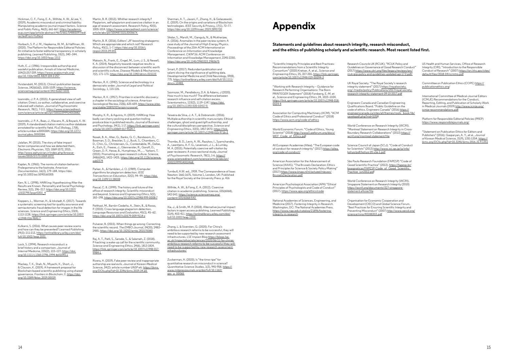Hickman, C. F., Fong, E. A., Wilhite, A. W., & Lee, Y. (2019). Academic misconduct and criminal liability: Manipulating academic journal impact factors. *Science and Public Policy*, 46(5), 661-667. https://academic. oup.com/spp/article-abstract/46/5/661/5488509?redi rectedFrom=fulltext

Hvistendahl, M. (2013). China's publication bazaar. *Science*, 342(6162), 1035-1039. https://science. sciencemag.org/content/342/6162/1035

Horbach, S. P. J. M., Hepkema, W. M., & Halffman, W. (2020). The Platform for Responsible Editorial Policies: An initiative to foster editorial transparency in scholarly publishing. *Learned Publishing*, 33(3), 340–344. https://doi.org/10.1002/leap.1312

Huth, E. J. (1986). Irresponsible authorship and wasteful publication. *Annals of Internal Medicine*, 104(2):257-259. https://www.acpjournals.org/ doi/10.7326/0003-4819-104-2-257

Kerr, N. L. (1998). HARKing: Hypothesizing After the Results are Known. Personality and Social Psychology Review, 2(3), 196–217. https://doi.org/10.1207/ s15327957pspr0203\_4

Koppers, L., Wormer, H., & Ickstadt, K. (2017). Towards a systematic screening tool for quality assurance and semiautomatic fraud detection for images in the life sciences. *Science and Engineering Ethics*, 23(4), 1113-1128. https://link.springer.com/article/10.1007/ s11948-016-9841-7

Ioannidis, J. P. A. (2015). A generalized view of selfcitation: Direct, co-author, collaborative, and coercive induced self-citation. *Journal of Psychosomatic Research*, 78(1), 7-111. https://www.sciencedirect. com/science/article/abs/pii/S0022399914003882

Ioannidis, J. P. A., Baas, J., Klavans, R., & Boyack, K. W. (2019). A standardized citation metrics author database annotated for scientific field. *PLoS Biology*, 17(8), article number e3000384. https://doi.org/10.1371/ journal.pbio.3000384.

Jalalian, M. (2015). The story of fake impact factor companies and how we detected them, *Electronic Physician*, 7(2): 1069-1072, 2015. http://www.ephysician.ir/index.php/browseissues/2015/2/173-1069-1072

Kaplan, N. (1965). The norms of citation behavior: Prolegomena to the footnote. *American Documentation*, 16(3), 179–184. https://doi. org/10.1002/asi.5090160305

Kulkarni, S. (2016). What causes peer review scams and how can they be prevented? *Learned Publishing*, 29(3): 211-213. https://onlinelibrary.wiley.com/doi/ full/10.1002/leap.1031

Lock, S. (1994). Research misconduct: a brief history and a comparison. *Journal of Internal Medicine*, 235(2), 123–127. https://doi. org/10.1111/j.1365-2796.1994.tb01045.x

Mackey, T. K., Shah, N., Miyachi, K., Short, J., & Clauson, K. (2019). A framework proposal for Blockchain-based scientific publishing using shared governance. *Frontiers in Blockchain*, 2. https://doi. org/10.3389/fbloc.2019.00019

Sikdar, S., Marsili, M., Ganguly, N., & Mukherjee, A. (2016). Anomalies in the peer-review system: A case study of the *Journal of High Energy Physics. Proceedings of the 25th ACM International on Conference on Information and Knowledge Management. CIKM'16: ACM Conference on Information and Knowledge Management*, 2245-2250. https://doi.org/10.1145/2983323.2983675

Martin, B. R. (2013). Whither research integrity? Plagiarism, self-plagiarism and coercive citation in an age of research assessment. *Research Policy*, 42(5), 1005-1014. https://www.sciencedirect.com/science/ article/abs/pii/S004873331300067X

Martin, B. R. (2016). Editors' JIF-boosting stratagems: Which are appropriate and which not? *Research Policy*, 45(1), 1–7. https://doi.org/10.1016/j. respol.2015.09.001

> Szomszor, M., Pendlebury, D.A. & Adams, J (2020). How much is too much? The difference between research influence and self-citation excess. *Scientometrics*, 123(2), 1119–1147. https://doi. org/10.1007/s11192-020-03417-5

Matosin, N., Frank, E., Engel, M., Lum, J. S., & Newell, K. A. (2014). Negativity towards negative results: a discussion of the disconnect between scientific worth and scientific culture. *Disease Models & Mechanisms*, 7(2), 171–173. https://doi.org/10.1242/dmm.015123

Merton, R. K. (1942). Science and technology in a democratic order. *Journal of Legal and Political Sociology*, 1, 115-126.

Merton, R. K. (1957). Priorities in scientific discovery: a chapter in the sociology of science. *American Sociological Review*, 22(6), 635-659. https://www.jstor. org/stable/2089193?origin=crossref

Murphy, K. R., & Aguinis, H. (2019). HARKing: How badly can cherry-picking and question trolling produce bias in published results. Journal of Business and Psychology, 34(1), 1-17. https://link.springer.com/ article/10.1007/s10869-017-9524-7

> Zuckerman, H. (2020). Is "the time ripe" for quantitative research on misconduct in science? *Quantitative Science Studies*, 1(3), 945-958. https:// www.mitpressjournals.org/doi/full/10.1162/  $\overline{q}$  ass<sub>a</sub> 00065

"Scientific Integrity Principles and Best Practices: Recommendations from a Scientific Integrity Consortium" (2020) Kretser, A. et al., *Science and Engineering Ethics*, 25, 327-355. https://link.springer. com/article/10.1007/s11948-019-00094-3

Nosek, B. A., Alter, G., Banks, G. C., Borsboom, D., Bowman, S. D., Breckler, S. J., Buck, S., Chambers, C. D., Chin, G., Christensen, G., Contestabile, M., Dafoe, A., Eich, E., Freese, J., Glennerster, R., Goroff, D., Green, D. P., Hesse, B., Humphreys, M., … Yarkoni, T. (2015). Promoting an open research culture. Science, 348(6242), 1422–1425. https://doi.org/10.1126/science. aab2374

World Economic Forum. "Code of Ethics, Young Scientist" (2018) http://www3.weforum.org/docs/ WEF Code of Ethics.pdf

Parker, A., & Hamblen, J. O. (1989). Computer algorithms for plagiarism detection. *IEEE Transactions on Education*, 32(2), 94–99. https://doi. org/10.1109/13.28038

American Association for the Advancement of Science (AAAS). "The Brussels Declaration: Ethics and Principles for Science & Society Policy-Making" (2017) https://www.knaw.nl/nl/actueel/nieuws/ BrusselsDeclaration.pdf

Pascal, C. B. (1999). The history and future of the office of research integrity: Scientific misconduct and beyond. *Science and Engineering Ethics*, 5(2), 183–198. https://doi.org/10.1007/s11948-999-0008-7

Potthast, M., Barrón-Cedeño, A., Stein, B., & Rosso, P. (2010). Cross-language plagiarism detection. *Language Resources and Evaluation*, 45(1), 45–62. https://doi.org/10.1007/s10579-009-9114-z

Pulverer, B. (2015). When things go wrong: Correcting the scientific record. *The EMBO Journal*, 34(20), 2483– 2485. https://doi.org/10.15252/embj.201570080

Engineers Canada and Canadian Engineering Qualifications Board. "Public Guideline on the code of ethics. Engineers Canada" (2016) https:// engineerscanada.ca/sites/all/themes/roots\_book/lib/ savetopdf.php?nid=5358

Raj, A. T., Patil, S., Sarode, S., & Salameh, Z. (2018). P-hacking: a wake-up call for the scientific community. *Science and Engineering Ethics*, 24(6), 1813-1814. https://link.springer.com/article/10.1007/s11948-017- 9984-1

São Paulo Research Foundation (FAPESP) "Code of Good Scientific Practice" (2012). https://fapesp.br/ boaspraticas/FAPESP-Code\_of\_Good\_Scientific Practice\_jun2012.pdf

Rivera, H. (2019). Fake peer review and inappropriate authorship are real evils. *Journal of Korean Medical Science*, 34(2): article number UNSP e6. https://jkms. org/DOIx.php?id=10.3346/jkms.2019.34.e6

Organisation for Economic Cooperation and Development (OECD) and Global Science Forum. "Best Practices for Ensuring Scientific Integrity and Preventing Misconduct" (2007) http://www.oecd.org/ science/inno/40188303.pdf

Sherman, A. T., Javani, F., Zhang, H., & Golaszewski, E. (2019). On the origins and variations of Blockchain technologies. *IEEE Security & Privacy*, 17(1), 72–77. https://doi.org/10.1109/msec.2019.2893730

Smart, P. (2017). Redundant publication and salami slicing: the significance of splitting data. Developmental Medicine and Child Neurology, 59(8), 775. https://onlinelibrary.wiley.com/doi/full/10.1111/ dmcn.13485

Teixeira da Silva, J. A. T., & Dobranszki. (2016). Multiple authorship in scientific manuscripts: Ethical challenges, ghost and guest/gift authorship, and the cultural/disciplinary perspective. *Science and Engineering Ethic*s, 22(5), 1457-1472. https://link. springer.com/article/10.1007/s11948-015-9716-3

Thombs, B. D., Levis, A. W., Razykov, I., Syamchandra, A., Leentjens, A. F. G., Levenson, J. L., & Lumley, M. A. (2015). Potentially coercive self-citation by peer reviewers: A cross-sectional study. *Journal of Psychosomatic Research*, 78(1), 1-6. https:// www.sciencedirect.com/science/article/abs/pii/ S0022399914003468

Turnbull, H.W. ed., 1959. The Correspondence of Isaac Newton: 1661-1675, Volume 1, London, UK: Published for the Royal Society at the University Press. p. 416

Wilhite, A. W., & Fong, E. A. (2012). Coercive citation in academic publishing. *Science*, 335(6068), 542-543. https://science.sciencemag.org/ content/335/6068/542

Xia, J., & Smith, M. P. (2018). Alternative journal impact factors in open access publishing. *Learned Publishing*, 31(4), 403-411. https://onlinelibrary.wiley.com/doi/ full/10.1002/leap.1200

Zhang, L. & Siversten, G. (2020). For China's ambitious research reforms to be successful, they will need to be supported by new research assessment infrastructures. *LSE Impact Blog* https://blogs.lse. ac.uk/impactofsocialsciences/2020/06/11/for-chinasambitious-research-reforms-to-be-successful-they-willneed-to-be-supported-by-new-research-assessmentinfrastructures/

"Working with Research Integrity – Guidance for Research Performing Organisations: The Bonn PRINTEGER Statement" (2018) Forsberg, E.-M. et al., *Science and Engineering Ethics*, 24, 1023–1034. https://link.springer.com/article/10.1007/s11948-018- 0034-4

Association for Computing Machinery (ACM). "ACM Code of Ethics and Professional Conduct" (2018) https://www.acm.org/code-of-ethics

All European Academies (Allea). "The European code of conduct for research integrity" (2017) https://allea. org/code-of-conduct/

American Psychological Association (APA) "Ethical Principles of Psychologists and Code of Conduct" (2017). https://www.apa.org/ethics/code

National Academies of Sciences, Engineering, and Medicine (2017). *Fostering Integrity in Research*. Washington, DC: The National Academies Press. https://www.nap.edu/catalog/21896/fosteringintegrity-in-research

Research Councils UK (RCUK). "RCUK Policy and Guidelines on Governance of Good Research Conduct" (2017) https://www.ukri.org/files/legacy/reviews/grc/ rcuk-grp-policy-and-guidelines-updated-apr-17-2-pdf/

UK Royal Society. "The Royal Society's research Integrity statement" (2017) https://royalsociety. org/-/media/policy/Publications/2017/royal-societyresearch-integrity-statement-09-10-2017.pdf

World Conference on Research Integrity (WCRI). "Montreal Statement on Research Integrity in Cross-Boundary Research Collaborations" (2013) https:// wcrif.org/montreal-statement/file

Science Council of Japan (SCJ). "Code of Conduct for Scientists" (2013) http://www.scj.go.jp/ja/info/ kohyo/pdf/kohyo-20-s3e-1.pdf

World Conference on Research Integrity (WCRI). Singapore Statement on Research Integrity (2010) https://wcrif.org/documents/327-singaporestatement-a4size/file

US Health and Human Services, Office of Research Integrity (ORI). "Introduction to the Responsible Conduct of Research" (2007) https://ori.hhs.gov/sites/ default/files/2018-04/rcrintro.pdf

Committee on Publication Ethics (COPE) https:// publicationethics.org/

International Committee of Medical Journal Editors (ICMJE) Recommendations for the Conduct, Reporting, Editing, and Publication of Scholarly Work in Medical Journals (2019) http://www.icmje.org/ icmje-recommendations.pdf

Platform for Responsible Editorial Policies (PREP) https://www.responsiblejournals.org/

"Statement on Publication Ethics for Editors and Publishers" (2016). Gasparyan, A. Y., et al., *Journal of Korean Medical Science*, 31(9), 1351-1354. https:// jkms.org/DOIx.php?id=10.3346/jkms.2016.31.9.1351

# **Appendix**

**Statements and guidelines about research integrity, research misconduct, and the ethics of publishing scholarly and scientific research. Most recent listed first.**